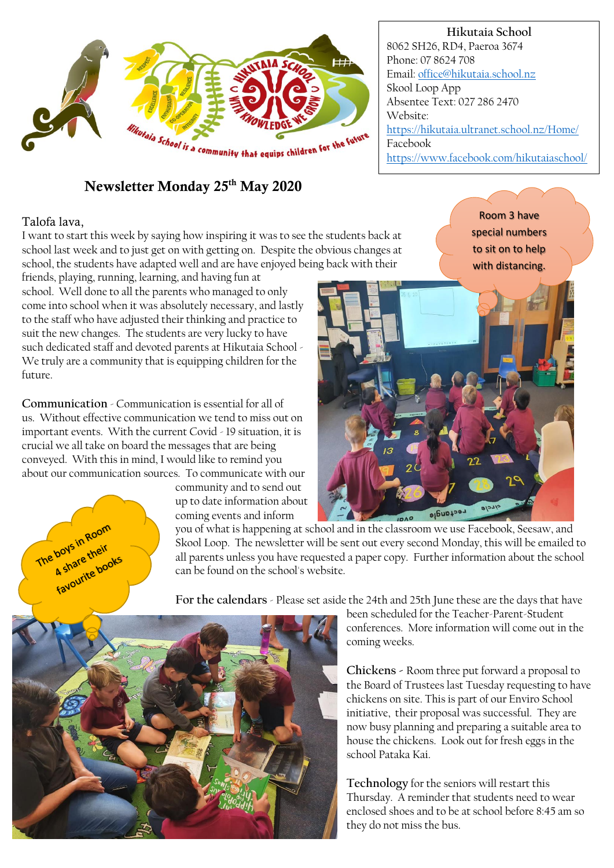

## Newsletter Monday 25th May 2020

## Talofa lava,

The boys in Room boys in Room<br>A share their boys retheir<br>A share their<br>favourite books

I want to start this week by saying how inspiring it was to see the students back at school last week and to just get on with getting on. Despite the obvious changes at school, the students have adapted well and are have enjoyed being back with their

Room 3 have special numbers to sit on to help with distancing.

friends, playing, running, learning, and having fun at school. Well done to all the parents who managed to only come into school when it was absolutely necessary, and lastly to the staff who have adjusted their thinking and practice to suit the new changes. The students are very lucky to have such dedicated staff and devoted parents at Hikutaia School - We truly are a community that is equipping children for the future.

**Communication** - Communication is essential for all of us. Without effective communication we tend to miss out on important events. With the current Covid - 19 situation, it is crucial we all take on board the messages that are being conveyed. With this in mind, I would like to remind you about our communication sources. To communicate with our

community and to send out up to date information about coming events and inform



you of what is happening at school and in the classroom we use Facebook, Seesaw, and Skool Loop. The newsletter will be sent out every second Monday, this will be emailed to all parents unless you have requested a paper copy. Further information about the school can be found on the school's website.

**For the calendars** - Please set aside the 24th and 25th June these are the days that have



been scheduled for the Teacher-Parent-Student conferences. More information will come out in the coming weeks.

**Chickens -** Room three put forward a proposal to the Board of Trustees last Tuesday requesting to have chickens on site. This is part of our Enviro School initiative, their proposal was successful. They are now busy planning and preparing a suitable area to house the chickens. Look out for fresh eggs in the school Pataka Kai.

**Technology** for the seniors will restart this Thursday. A reminder that students need to wear enclosed shoes and to be at school before 8:45 am so they do not miss the bus.

## **Hikutaia School**